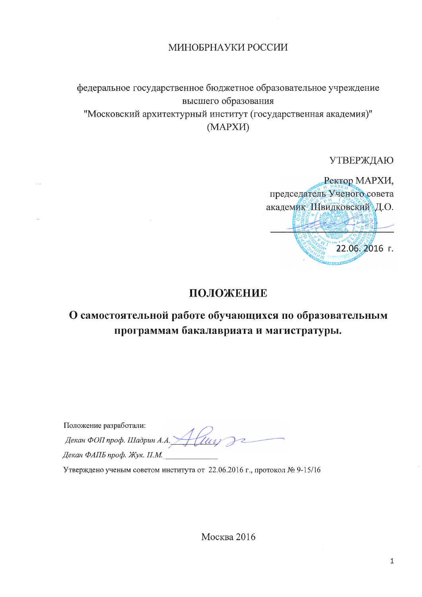## МИНОБРНАУКИ РОССИИ

федеральное государственное бюджетное образовательное учреждение высшего образования "Московский архитектурный институт (государственная академия)" (MAPXII)

УТВЕРЖДАЮ

Ректор МАРХИ, председатель Ученого совета академик Швидковский Д.О. 22.06.2016 г.

# ПОЛОЖЕНИЕ

# О самостоятельной работе обучающихся по образовательным программам бакалавриата и магистратуры.

Положение разработали: положение разработани.<br>Декан ФОП проф. Шадрин А.А. Aluy Декан ФАПБ проф. Жук. П.М.

Утверждено ученым советом института от 22.06.2016 г., протокол № 9-15/16

Москва 2016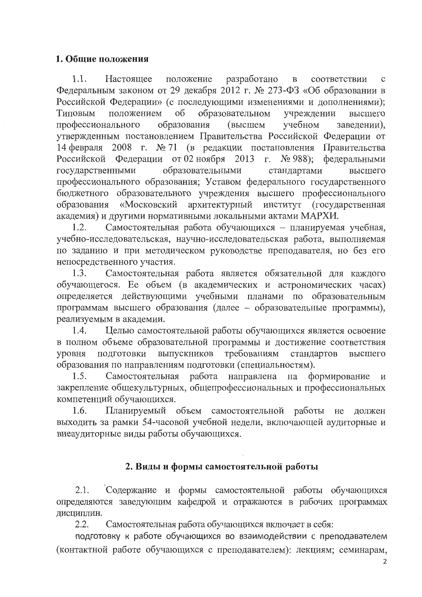### 1. Общие положения

1.1. Настоящее положение разработано соответствии  $\, {\bf B}$  $\mathbf c$ Федеральным законом от 29 декабря 2012 г. № 273-ФЗ «Об образовании в Российской Федерации» (с последующими изменениями и дополнениями); образовательном Типовым положением  $\overline{00}$ учреждении высшего образования профессионального (высшем учебном заведении), утвержденным постановлением Правительства Российской Федерации от 14 февраля 2008 г. № 71 (в редакции постановления Правительства Российской Федерации от 02 ноября 2013 г. № 988); федеральными образовательными государственными стандартами высшего профессионального образования; Уставом федерального государственного бюджетного образовательного учреждения высшего профессионального образования «Московский архитектурный институт (государственная академия) и другими нормативными локальными актами МАРХИ.

Самостоятельная работа обучающихся - планируемая учебная,  $1.2.$ учебно-исследовательская, научно-исследовательская работа, выполняемая по заданию и при методическом руководстве преподавателя, но без его непосредственного участия.

Самостоятельная работа является обязательной для каждого 1.3. обучающегося. Ее объем (в академических и астрономических часах) определяется действующими учебными планами по образовательным программам высшего образования (далее - образовательные программы), реализуемым в академии.

Целью самостоятельной работы обучающихся является освоение  $1.4.$ в полном объеме образовательной программы и достижение соответствия выпускников требованиям уровня ПОДГОТОВКИ стандартов высшего образования по направлениям подготовки (специальностям).

Самостоятельная работа направлена на формирование  $1.5.$  $\,$   $\,$   $\,$   $\,$ закрепление общекультурных, общепрофессиональных и профессиональных компетенций обучающихся.

1.6. Планируемый объем самостоятельной работы не должен выходить за рамки 54-часовой учебной недели, включающей аудиторные и внеаудиторные виды работы обучающихся.

## 2. Виды и формы самостоятельной работы

Содержание и формы самостоятельной работы обучающихся 2.1. определяются заведующим кафедрой и отражаются в рабочих программах дисциплин.

Самостоятельная работа обучающихся включает в себя:  $2.2.$ 

подготовку к работе обучающихся во взаимодействии с преподавателем (контактной работе обучающихся с преподавателем): лекциям; семинарам,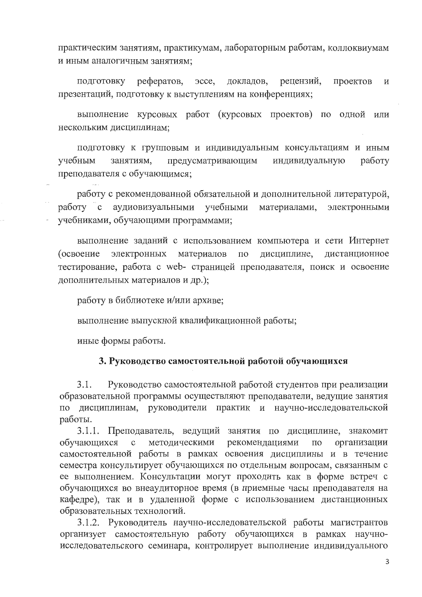практическим занятиям, практикумам, лабораторным работам, коллоквиумам и иным аналогичным занятиям;

рефератов, эссе, докладов, рецензий, проектов ПОДГОТОВКУ  $\, {\rm H}$ презентаций, подготовку к выступлениям на конференциях;

выполнение курсовых работ (курсовых проектов) по одной или нескольким дисциплинам;

подготовку к групповым и индивидуальным консультациям и иным учебным занятиям, предусматривающим индивидуальную работу преподавателя с обучающимся;

работу с рекомендованной обязательной и дополнительной литературой, работу с аудиовизуальными учебными материалами, электронными учебниками, обучающими программами;

выполнение заданий с использованием компьютера и сети Интернет дисциплине, дистанционное электронных материалов  $\Pi 0$ (освоение тестирование, работа с web- страницей преподавателя, поиск и освоение дополнительных материалов и др.);

работу в библиотеке и/или архиве;

выполнение выпускной квалификационной работы;

иные формы работы.

#### 3. Руководство самостоятельной работой обучающихся

Руководство самостоятельной работой студентов при реализации  $3.1.$ образовательной программы осуществляют преподаватели, ведущие занятия по дисциплинам, руководители практик и научно-исследовательской работы.

3.1.1. Преподаватель, ведущий занятия по дисциплине, знакомит методическими рекомендациями организации обучающихся  $\mathbf{C}$  $\Pi 0$ самостоятельной работы в рамках освоения дисциплины и в течение семестра консультирует обучающихся по отдельным вопросам, связанным с ее выполнением. Консультации могут проходить как в форме встреч с обучающихся во внеаудиторное время (в приемные часы преподавателя на кафедре), так и в удаленной форме с использованием дистанционных образовательных технологий.

3.1.2. Руководитель научно-исследовательской работы магистрантов организует самостоятельную работу обучающихся в рамках научноисследовательского семинара, контролирует выполнение индивидуального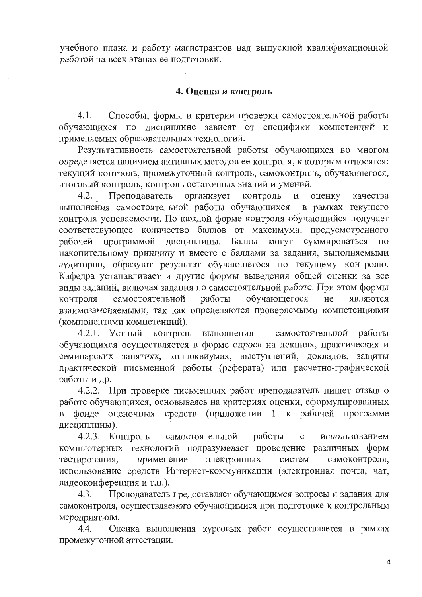учебного плана и работу магистрантов над выпускной квалификационной работой на всех этапах ее подготовки.

#### 4. Оценка и контроль

Способы, формы и критерии проверки самостоятельной работы 4.1. обучающихся по дисциплине зависят от специфики компетенций и применяемых образовательных технологий.

Результативность самостоятельной работы обучающихся во многом определяется наличием активных методов ее контроля, к которым относятся: текущий контроль, промежуточный контроль, самоконтроль, обучающегося, итоговый контроль, контроль остаточных знаний и умений.

 $4.2.$ Преподаватель организует контроль  $\mathbf H$ оценку качества выполнения самостоятельной работы обучающихся в рамках текущего контроля успеваемости. По каждой форме контроля обучающийся получает соответствующее количество баллов от максимума, предусмотренного рабочей программой дисциплины. Баллы могут суммироваться по накопительному принципу и вместе с баллами за задания, выполняемыми аудиторно, образуют результат обучающегося по текущему контролю. Кафедра устанавливает и другие формы выведения общей оценки за все виды заданий, включая задания по самостоятельной работе. При этом формы обучающегося самостоятельной работы He контроля являются взаимозаменяемыми, так как определяются проверяемыми компетенциями (компонентами компетенций).

контроль самостоятельной 4.2.1. Устный выполнения работы обучающихся осуществляется в форме опроса на лекциях, практических и семинарских занятиях, коллоквиумах, выступлений, докладов, защиты практической письменной работы (реферата) или расчетно-графической работы и др.

4.2.2. При проверке письменных работ преподаватель пишет отзыв о работе обучающихся, основываясь на критериях оценки, сформулированных в фонде оценочных средств (приложении 1 к рабочей программе дисциплины).

самостоятельной 4.2.3. Контроль работы  $\mathbf C$ использованием компьютерных технологий подразумевает проведение различных форм применение электронных систем самоконтроля, тестирования, использование средств Интернет-коммуникации (электронная почта, чат, видеоконференция и т.п.).

Преподаватель предоставляет обучающимся вопросы и задания для  $4.3.$ самоконтроля, осуществляемого обучающимися при подготовке к контрольным мероприятиям.

4.4. Оценка выполнения курсовых работ осуществляется в рамках промежуточной аттестации.